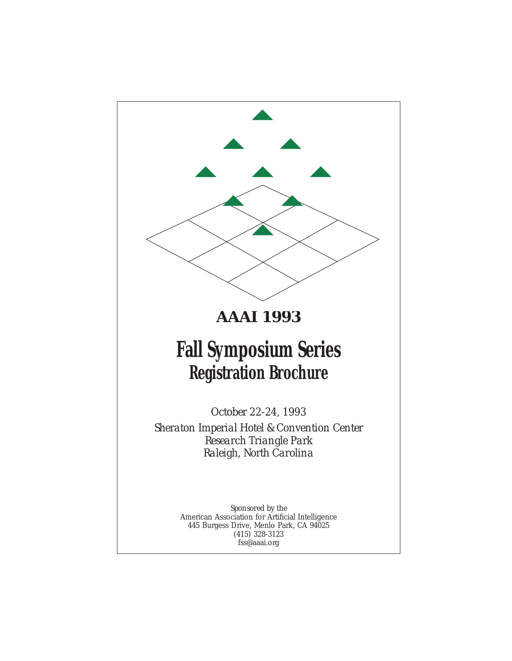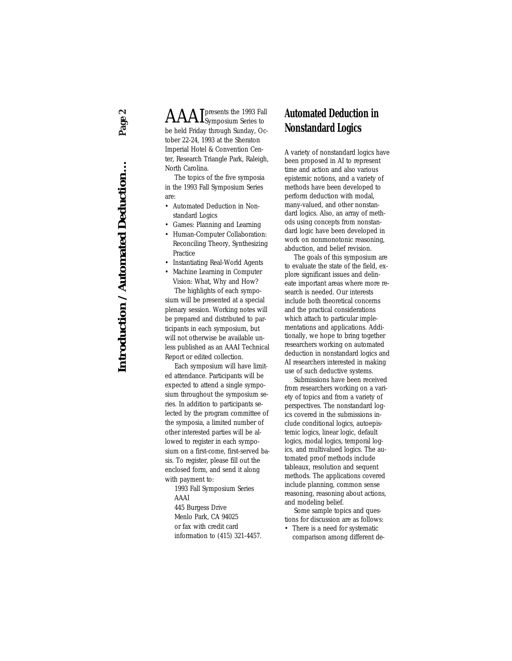**Introduction / Automated Deduction…** *Page 2*Introduction / Automated Deduction...

Page!

 $\rm AAAI_{\rm Symposium \, Series}^{\, presents \, \, the \,\, 1993 \, \, Fall}$ be held Friday through Sunday, October 22-24, 1993 at the Sheraton Imperial Hotel & Convention Center, Research Triangle Park, Raleigh, North Carolina.

The topics of the five symposia in the 1993 Fall Symposium Series are:

- Automated Deduction in Nonstandard Logics
- Games: Planning and Learning
- Human-Computer Collaboration: Reconciling Theory, Synthesizing Practice
- Instantiating Real-World Agents
- Machine Learning in Computer Vision: What, Why and How?

The highlights of each symposium will be presented at a special plenary session. Working notes will be prepared and distributed to participants in each symposium, but will not otherwise be available unless published as an AAAI Technical Report or edited collection.

Each symposium will have limited attendance. Participants will be expected to attend a single symposium throughout the symposium series. In addition to participants selected by the program committee of the symposia, a limited number of other interested parties will be allowed to register in each symposium on a first-come, first-served basis. To register, please fill out the enclosed form, and send it along with payment to:

1993 Fall Symposium Series AAAI

445 Burgess Drive Menlo Park, CA 94025 or fax with credit card information to (415) 321-4457.

### **Automated Deduction in Nonstandard Logics**

A variety of nonstandard logics have been proposed in AI to represent time and action and also various epistemic notions, and a variety of methods have been developed to perform deduction with modal, many-valued, and other nonstandard logics. Also, an array of methods using concepts from nonstandard logic have been developed in work on nonmonotonic reasoning, abduction, and belief revision.

The goals of this symposium are to evaluate the state of the field, explore significant issues and delineate important areas where more research is needed. Our interests include both theoretical concerns and the practical considerations which attach to particular implementations and applications. Additionally, we hope to bring together researchers working on automated deduction in nonstandard logics and AI researchers interested in making use of such deductive systems.

Submissions have been received from researchers working on a variety of topics and from a variety of perspectives. The nonstandard logics covered in the submissions include conditional logics, autoepistemic logics, linear logic, default logics, modal logics, temporal logics, and multivalued logics. The automated proof methods include tableaux, resolution and sequent methods. The applications covered include planning, common sense reasoning, reasoning about actions, and modeling belief.

Some sample topics and questions for discussion are as follows:

• There is a need for systematic comparison among different de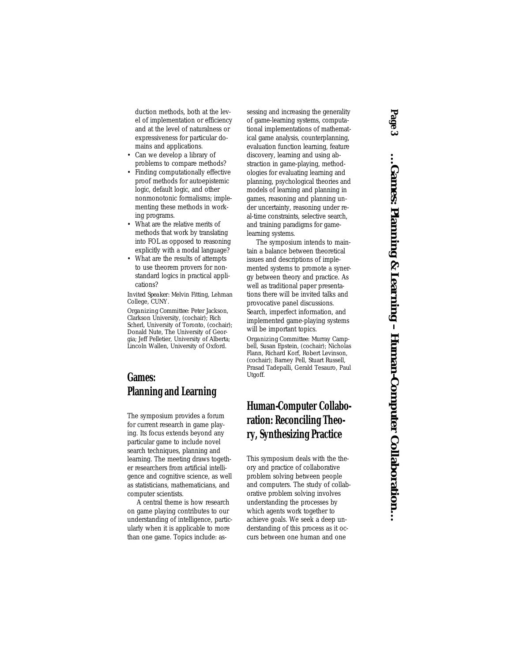duction methods, both at the level of implementation or efficiency and at the level of naturalness or expressiveness for particular domains and applications.

- Can we develop a library of problems to compare methods?
- Finding computationally effective proof methods for autoepistemic logic, default logic, and other nonmonotonic formalisms; implementing these methods in working programs.
- What are the relative merits of methods that work by translating into FOL as opposed to reasoning explicitly with a modal language?
- What are the results of attempts to use theorem provers for nonstandard logics in practical applications?

*Invited Speaker:* Melvin Fitting, Lehman College, CUNY.

*Organizing Committee:* Peter Jackson, Clarkson University, (cochair); Rich Scherl, University of Toronto, (cochair); Donald Nute, The University of Georgia; Jeff Pelletier, University of Alberta; Lincoln Wallen, University of Oxford.

# **Games: Planning and Learning**

The symposium provides a forum for current research in game playing. Its focus extends beyond any particular game to include novel search techniques, planning and learning. The meeting draws together researchers from artificial intelligence and cognitive science, as well as statisticians, mathematicians, and computer scientists.

A central theme is how research on game playing contributes to our understanding of intelligence, particularly when it is applicable to more than one game. Topics include: assessing and increasing the generality of game-learning systems, computational implementations of mathematical game analysis, counterplanning, evaluation function learning, feature discovery, learning and using abstraction in game-playing, methodologies for evaluating learning and planning, psychological theories and models of learning and planning in games, reasoning and planning under uncertainty, reasoning under real-time constraints, selective search, and training paradigms for gamelearning systems.

The symposium intends to maintain a balance between theoretical issues and descriptions of implemented systems to promote a synergy between theory and practice. As well as traditional paper presentations there will be invited talks and provocative panel discussions. Search, imperfect information, and implemented game-playing systems will be important topics.

*Organizing Committee:* Murray Campbell, Susan Epstein, (cochair); Nicholas Flann, Richard Korf, Robert Levinson, (cochair); Barney Pell, Stuart Russell, Prasad Tadepalli, Gerald Tesauro, Paul Utgoff.

# **Human-Computer Collaboration: Reconciling Theory, Synthesizing Practice**

This symposium deals with the theory and practice of collaborative problem solving between people and computers. The study of collaborative problem solving involves understanding the processes by which agents work together to achieve goals. We seek a deep understanding of this process as it occurs between one human and one

# *Page 3*

...Ganes: Planning & Learning - Human-Computer Collaboration... **…Games: Planning & Learning – Human-Computer Collaboration…**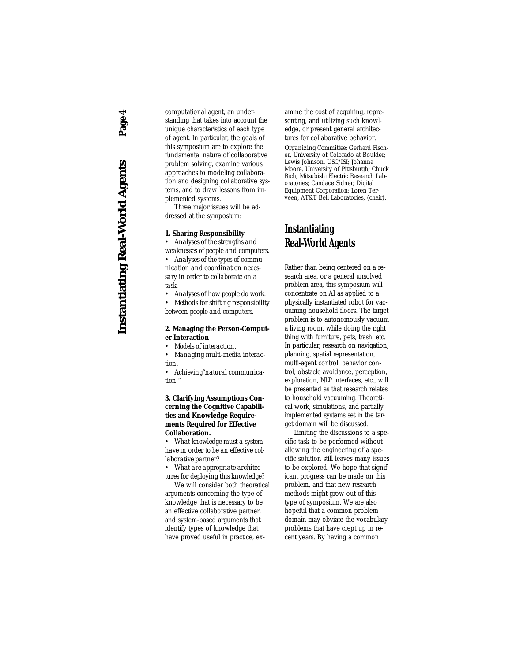**Instantiating Real-World Agents** *Page 4*Page 4 **Instantiating Real-World Agents** 

computational agent, an understanding that takes into account the unique characteristics of each type of agent. In particular, the goals of this symposium are to explore the fundamental nature of collaborative problem solving, examine various approaches to modeling collaboration and designing collaborative systems, and to draw lessons from implemented systems.

Three major issues will be addressed at the symposium:

#### **1. Sharing Responsibility**

• *Analyses of the strengths and weaknesses of people and computers. • Analyses of the types of communication and coordination necessary in order to collaborate on a*

*task*.

*• Analyses of how people do work.* 

*• Methods for shifting responsibility between people and computers.*

#### **2. Managing the Person-Computer Interaction**

*• Models of interaction.*

*• Managing multi-media interaction.*

*• Achieving"natural communication."*

#### **3. Clarifying Assumptions Concerning the Cognitive Capabilities and Knowledge Requirements Required for Effective Collaboration.**

*• What knowledge must a system have in order to be an effective collaborative partner?*

*• What are appropriate architectures for deploying this knowledge?* 

We will consider both theoretical arguments concerning the type of knowledge that is necessary to be an effective collaborative partner, and system-based arguments that identify types of knowledge that have proved useful in practice, examine the cost of acquiring, representing, and utilizing such knowledge, or present general architectures for collaborative behavior.

*Organizing Committee:* Gerhard Fischer, University of Colorado at Boulder; Lewis Johnson, USC/ISI; Johanna Moore, University of Pittsburgh; Chuck Rich, Mitsubishi Electric Research Laboratories; Candace Sidner, Digital Equipment Corporation; Loren Terveen, AT&T Bell Laboratories, (chair).

### **Instantiating Real-World Agents**

Rather than being centered on a research area, or a general unsolved problem area, this symposium will concentrate on AI as applied to a physically instantiated robot for vacuuming household floors. The target problem is to autonomously vacuum a living room, while doing the right thing with furniture, pets, trash, etc. In particular, research on navigation, planning, spatial representation, multi-agent control, behavior control, obstacle avoidance, perception, exploration, NLP interfaces, etc., will be presented as that research relates to household vacuuming. Theoretical work, simulations, and partially implemented systems set in the target domain will be discussed.

Limiting the discussions to a specific task to be performed without allowing the engineering of a specific solution still leaves many issues to be explored. We hope that significant progress can be made on this problem, and that new research methods might grow out of this type of symposium. We are also hopeful that a common problem domain may obviate the vocabulary problems that have crept up in recent years. By having a common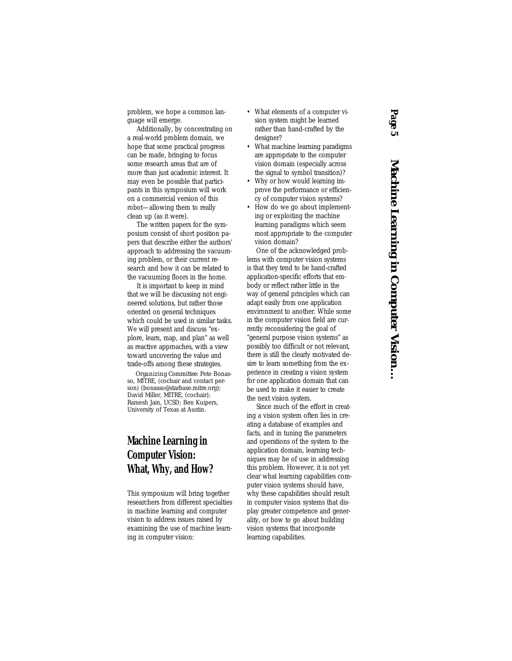problem, we hope a common language will emerge.

Additionally, by concentrating on a real-world problem domain, we hope that some practical progress can be made, bringing to focus some research areas that are of more than just academic interest. It may even be possible that participants in this symposium will work on a commercial version of this robot—allowing them to really clean up (as it were).

The written papers for the symposium consist of short position papers that describe either the authors' approach to addressing the vacuuming problem, or their current research and how it can be related to the vacuuming floors in the home.

It is important to keep in mind that we will be discussing not engineered solutions, but rather those oriented on general techniques which could be used in similar tasks. We will present and discuss "explore, learn, map, and plan" as well as reactive approaches, with a view toward uncovering the value and trade-offs among these strategies.

*Organizing Committee:* Pete Bonasso, MITRE, (cochair and contact person) (bonasso@starbase.mitre.org); David Miller, MITRE, (cochair); Ramesh Jain, UCSD; Ben Kuipers, University of Texas at Austin.

## **Machine Learning in Computer Vision: What, Why, and How?**

This symposium will bring together researchers from different specialties in machine learning and computer vision to address issues raised by examining the use of machine learning in computer vision:

- What elements of a computer vision system might be learned rather than hand-crafted by the designer?
- What machine learning paradigms are appropriate to the computer vision domain (especially across the signal to symbol transition)?
- Why or how would learning improve the performance or efficiency of computer vision systems?
- How do we go about implementing or exploiting the machine learning paradigms which seem most appropriate to the computer vision domain?

One of the acknowledged problems with computer vision systems is that they tend to be hand-crafted application-specific efforts that embody or reflect rather little in the way of general principles which can adapt easily from one application environment to another. While some in the computer vision field are currently reconsidering the goal of "general purpose vision systems" as possibly too difficult or not relevant, there is still the clearly motivated desire to learn something from the experience in creating a vision system for one application domain that can be used to make it easier to create the next vision system.

Since much of the effort in creating a vision system often lies in creating a database of examples and facts, and in tuning the parameters and operations of the system to the application domain, learning techniques may be of use in addressing this problem. However, it is not yet clear what learning capabilities computer vision systems should have, why these capabilities should result in computer vision systems that display greater competence and generality, or how to go about building vision systems that incorporate learning capabilities.

# *Page 5*

Machine Learning in Computer Vision... **Machine Learning in Computer Vision…**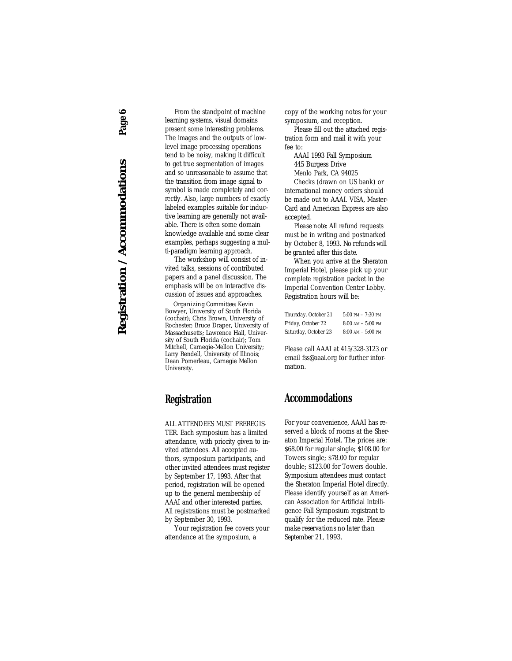Page 6 **Registration / Accommodations** *Page 6*Registration / Accommodations

From the standpoint of machine learning systems, visual domains present some interesting problems. The images and the outputs of lowlevel image processing operations tend to be noisy, making it difficult to get true segmentation of images and so unreasonable to assume that the transition from image signal to symbol is made completely and correctly. Also, large numbers of exactly labeled examples suitable for inductive learning are generally not available. There is often some domain knowledge available and some clear examples, perhaps suggesting a multi-paradigm learning approach.

The workshop will consist of invited talks, sessions of contributed papers and a panel discussion. The emphasis will be on interactive discussion of issues and approaches.

*Organizing Committee:* Kevin Bowyer, University of South Florida (cochair); Chris Brown, University of Rochester; Bruce Draper, University of Massachusetts; Lawrence Hall, University of South Florida (cochair); Tom Mitchell, Carnegie-Mellon University; Larry Rendell, University of Illinois; Dean Pomerleau, Carnegie Mellon University.

### **Registration**

ALL ATTENDEES MUST PREREGIS-TER. Each symposium has a limited attendance, with priority given to invited attendees. All accepted authors, symposium participants, and other invited attendees must register by September 17, 1993. After that period, registration will be opened up to the general membership of AAAI and other interested parties. All registrations must be postmarked by September 30, 1993.

Your registration fee covers your attendance at the symposium, a

copy of the working notes for your symposium, and reception.

Please fill out the attached registration form and mail it with your fee to:

AAAI 1993 Fall Symposium 445 Burgess Drive

Menlo Park, CA 94025

Checks (drawn on US bank) or international money orders should be made out to AAAI. VISA, Master-Card and American Express are also accepted.

*Please note:* All refund requests must be in writing and postmarked by October 8, 1993. *No refunds will be granted after this date.*

When you arrive at the Sheraton Imperial Hotel, please pick up your complete registration packet in the Imperial Convention Center Lobby. Registration hours will be:

| Thursday, October 21 | $5:00$ PM $-7:30$ PM |
|----------------------|----------------------|
| Friday, October 22   | $8:00$ AM $-5:00$ PM |
| Saturday, October 23 | $8:00$ AM $-5:00$ PM |

Please call AAAI at 415/328-3123 or email fss@aaai.org for further information.

#### **Accommodations**

For your convenience, AAAI has reserved a block of rooms at the Sheraton Imperial Hotel. The prices are: \$68.00 for regular single; \$108.00 for Towers single; \$78.00 for regular double; \$123.00 for Towers double. Symposium attendees must contact the Sheraton Imperial Hotel directly. Please identify yourself as an American Association for Artificial Intelligence Fall Symposium registrant to qualify for the reduced rate. *Please make reservations no later than September 21, 1993.*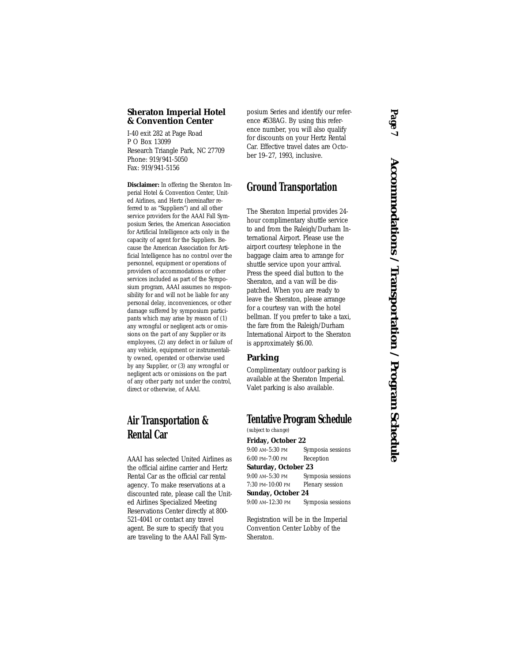#### **Sheraton Imperial Hotel & Convention Center**

I-40 exit 282 at Page Road P O Box 13099 Research Triangle Park, NC 27709 Phone: 919/941-5050 Fax: 919/941-5156

**Disclaimer:** In offering the Sheraton Imperial Hotel & Convention Center, United Airlines, and Hertz (hereinafter referred to as "Suppliers") and all other service providers for the AAAI Fall Symposium Series, the American Association for Artificial Intelligence acts only in the capacity of agent for the Suppliers. Because the American Association for Artificial Intelligence has no control over the personnel, equipment or operations of providers of accommodations or other services included as part of the Symposium program, AAAI assumes no responsibility for and will not be liable for any personal delay, inconveniences, or other damage suffered by symposium participants which may arise by reason of (1) any wrongful or negligent acts or omissions on the part of any Supplier or its employees, (2) any defect in or failure of any vehicle, equipment or instrumentality owned, operated or otherwise used by any Supplier, or (3) any wrongful or negligent acts or omissions on the part of any other party not under the control, direct or otherwise, of AAAI.

# **Air Transportation & Rental Car**

AAAI has selected United Airlines as the official airline carrier and Hertz Rental Car as the official car rental agency. To make reservations at a discounted rate, please call the United Airlines Specialized Meeting Reservations Center directly at 800- 521-4041 or contact any travel agent. Be sure to specify that you are traveling to the AAAI Fall Symposium Series and identify our reference #538AG. By using this reference number, you will also qualify for discounts on your Hertz Rental Car. Effective travel dates are October 19–27, 1993, inclusive.

#### **Ground Transportation**

The Sheraton Imperial provides 24 hour complimentary shuttle service to and from the Raleigh/Durham International Airport. Please use the airport courtesy telephone in the baggage claim area to arrange for shuttle service upon your arrival. Press the speed dial button to the Sheraton, and a van will be dispatched. When you are ready to leave the Sheraton, please arrange for a courtesy van with the hotel bellman. If you prefer to take a taxi, the fare from the Raleigh/Durham International Airport to the Sheraton is approximately \$6.00.

#### **Parking**

Complimentary outdoor parking is available at the Sheraton Imperial. Valet parking is also available.

#### **Tentative Program Schedule**

*(subject to change)*

**Friday, October 22** 9:00 AM–5:30 PM Symposia sessions 6:00 PM–7:00 PM Reception

**Saturday, October 23**

9:00 AM–5:30 PM Symposia sessions 7:30 PM–10:00 PM Plenary session **Sunday, October 24**

9:00 AM–12:30 PM Symposia sessions

Registration will be in the Imperial Convention Center Lobby of the Sheraton.

# Page Accommodations / Transportation / Program Schedule **Accommodations / Transportation / Program Schedule**